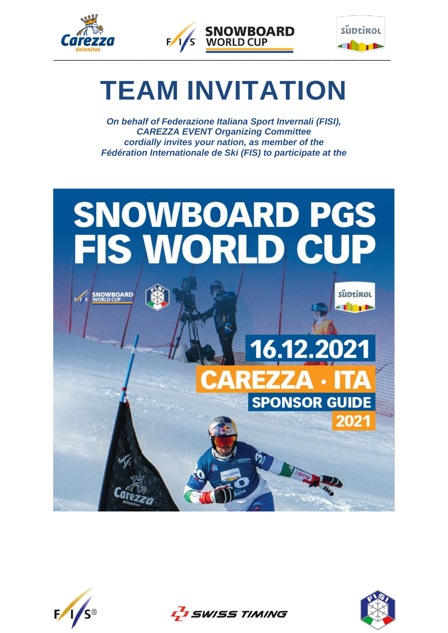





# **TEAM INVITATION**

*On behalf of Federazione Italiana Sport Invernali (FISI), CAREZZA EVENT Organizing Committee cordially invites your nation, as member of the Fédération Internationale de Ski (FIS) to participate at the*







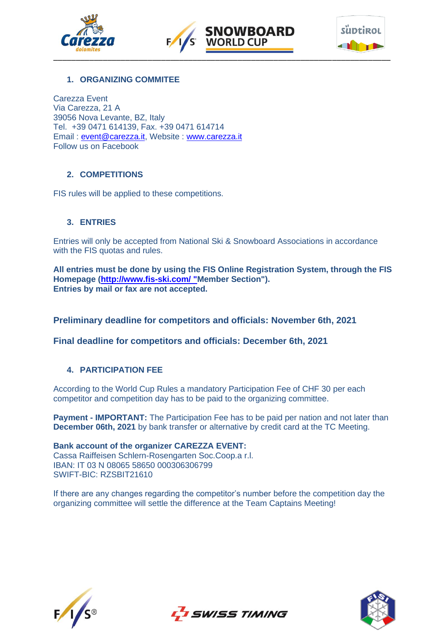





# **1. ORGANIZING COMMITEE**

Carezza Event Via Carezza, 21 A 39056 Nova Levante, BZ, Italy Tel. +39 0471 614139, Fax. +39 0471 614714 Email : [event@carezza.it,](mailto:event@carezza.it) Website : [www.carezza.it](http://www.carezza.it/) Follow us on Facebook

#### **2. COMPETITIONS**

FIS rules will be applied to these competitions.

# **3. ENTRIES**

Entries will only be accepted from National Ski & Snowboard Associations in accordance with the FIS quotas and rules.

**All entries must be done by using the FIS Online Registration System, through the FIS Homepage [\(http://www.fis-ski.com/ "M](http://www.fis-ski.com/%20%22)ember Section"). Entries by mail or fax are not accepted.**

**Preliminary deadline for competitors and officials: November 6th, 2021**

**Final deadline for competitors and officials: December 6th, 2021**

# **4. PARTICIPATION FEE**

According to the World Cup Rules a mandatory Participation Fee of CHF 30 per each competitor and competition day has to be paid to the organizing committee.

**Payment - IMPORTANT:** The Participation Fee has to be paid per nation and not later than **December 06th, 2021** by bank transfer or alternative by credit card at the TC Meeting.

**Bank account of the organizer CAREZZA EVENT:** Cassa Raiffeisen Schlern-Rosengarten Soc.Coop.a r.l. IBAN: IT 03 N 08065 58650 000306306799 SWIFT-BIC: RZSBIT21610

If there are any changes regarding the competitor's number before the competition day the organizing committee will [settle](http://www.dict.cc/englisch-deutsch/settle.html) [the](http://www.dict.cc/englisch-deutsch/the.html) [difference](http://www.dict.cc/englisch-deutsch/difference.html) at the Team Captains Meeting!





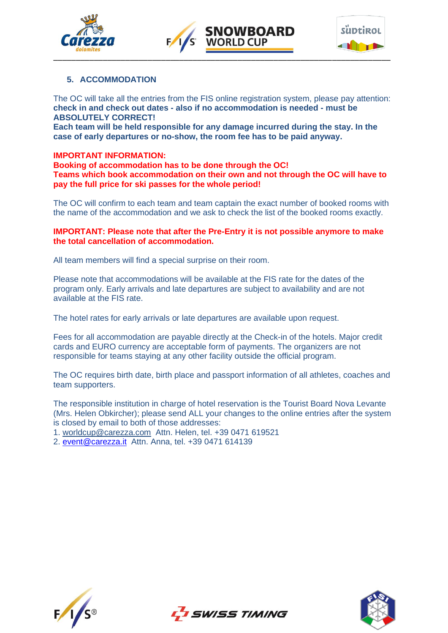



# **NOWBOARD WORLD CUP**



# **5. ACCOMMODATION**

The OC will take all the entries from the FIS online registration system, please pay attention: **check in and check out dates - also if no accommodation is needed - must be ABSOLUTELY CORRECT!**

**Each team will be held responsible for any damage incurred during the stay. In the case of early departures or no-show, the room fee has to be paid anyway.**

#### **IMPORTANT INFORMATION:**

**Booking of accommodation has to be done through the OC! Teams which book accommodation on their own and not through the OC will have to pay the full price for ski passes for the whole period!**

The OC will confirm to each team and team captain the exact number of booked rooms with the name of the accommodation and we ask to check the list of the booked rooms exactly.

#### **IMPORTANT: Please note that after the Pre-Entry it is not possible anymore to make the total cancellation of accommodation.**

All team members will find a special surprise on their room.

Please note that accommodations will be available at the FIS rate for the dates of the program only. Early arrivals and late departures are subject to availability and are not available at the FIS rate.

The hotel rates for early arrivals or late departures are available upon request.

Fees for all accommodation are payable directly at the Check-in of the hotels. Major credit cards and EURO currency are acceptable form of payments. The organizers are not responsible for teams staying at any other facility outside the official program.

The OC requires birth date, birth place and passport information of all athletes, coaches and team supporters.

The responsible institution in charge of hotel reservation is the Tourist Board Nova Levante (Mrs. Helen Obkircher); please send ALL your changes to the online entries after the system is closed by email to both of those addresses:

L'I SWISS TIMING

1. [worldcup@carezza.com](mailto:worldcup@carezza.com) Attn. Helen, tel. +39 0471 619521

2. [event@carezza.it](mailto:event@carezza.it) Attn. Anna, tel. +39 0471 614139



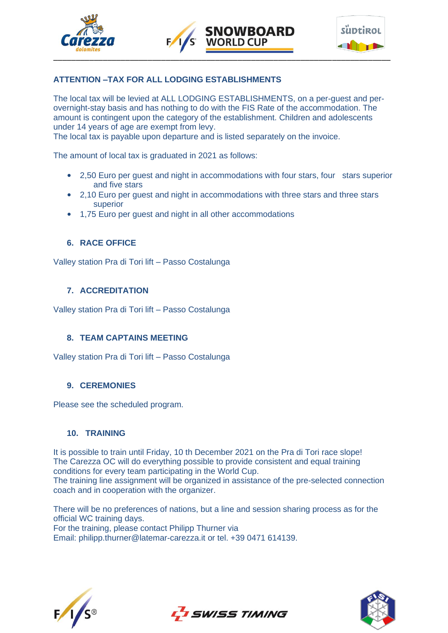



# **ATTENTION –TAX FOR ALL LODGING ESTABLISHMENTS**

The local tax will be levied at ALL LODGING ESTABLISHMENTS, on a per-guest and perovernight-stay basis and has nothing to do with the FIS Rate of the accommodation. The amount is contingent upon the category of the establishment. Children and adolescents under 14 years of age are exempt from levy.

**NOWBOARD** 

The local tax is payable upon departure and is listed separately on the invoice.

The amount of local tax is graduated in 2021 as follows:

- 2,50 Euro per guest and night in accommodations with four stars, four stars superior and five stars
- 2,10 Euro per guest and night in accommodations with three stars and three stars superior
- 1,75 Euro per guest and night in all other accommodations

#### **6. RACE OFFICE**

Valley station Pra di Tori lift – Passo Costalunga

#### **7. ACCREDITATION**

Valley station Pra di Tori lift – Passo Costalunga

#### **8. TEAM CAPTAINS MEETING**

Valley station Pra di Tori lift – Passo Costalunga

#### **9. CEREMONIES**

Please see the scheduled program.

#### **10. TRAINING**

It is possible to train until Friday, 10 th December 2021 on the Pra di Tori race slope! The Carezza OC will do everything possible to provide consistent and equal training conditions for every team participating in the World Cup.

The training line assignment will be organized in assistance of the pre-selected connection coach and in cooperation with the organizer.

There will be no preferences of nations, but a line and session sharing process as for the official WC training days.

For the training, please contact Philipp Thurner via Email: philipp.thurner@latemar-carezza.it or tel. +39 0471 614139.





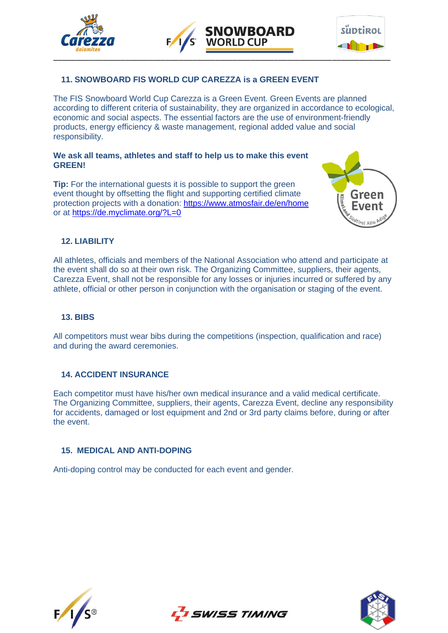





# **11. SNOWBOARD FIS WORLD CUP CAREZZA is a GREEN EVENT**

The FIS Snowboard World Cup Carezza is a Green Event. Green Events are planned according to different criteria of sustainability, they are organized in accordance to ecological, economic and social aspects. The essential factors are the use of environment-friendly products, energy efficiency & waste management, regional added value and social responsibility.

#### **We ask all teams, athletes and staff to help us to make this event GREEN!**

**Tip:** For the international guests it is possible to support the green event thought by offsetting the flight and supporting certified climate protection projects with a donation:<https://www.atmosfair.de/en/home> or at <https://de.myclimate.org/?L=0>



# **12. LIABILITY**

All athletes, officials and members of the National Association who attend and participate at the event shall do so at their own risk. The Organizing Committee, suppliers, their agents, Carezza Event, shall not be responsible for any losses or injuries incurred or suffered by any athlete, official or other person in conjunction with the organisation or staging of the event.

# **13. BIBS**

All competitors must wear bibs during the competitions (inspection, qualification and race) and during the award ceremonies.

# **14. ACCIDENT INSURANCE**

Each competitor must have his/her own medical insurance and a valid medical certificate. The Organizing Committee, suppliers, their agents, Carezza Event, decline any responsibility for accidents, damaged or lost equipment and 2nd or 3rd party claims before, during or after the event.

# **15. MEDICAL AND ANTI-DOPING**

Anti-doping control may be conducted for each event and gender.





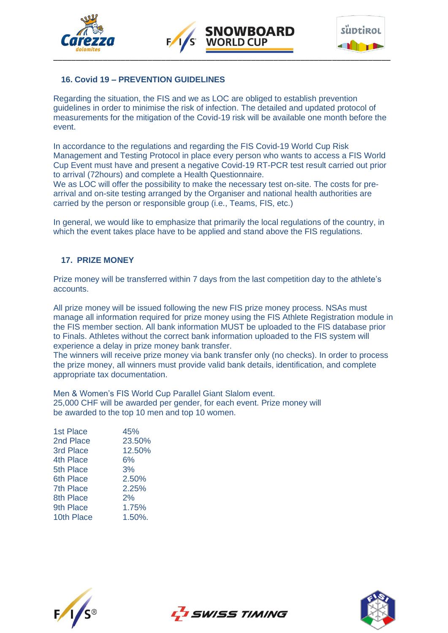





# **16. Covid 19 – PREVENTION GUIDELINES**

Regarding the situation, the FIS and we as LOC are obliged to establish prevention guidelines in order to minimise the risk of infection. The detailed and updated protocol of measurements for the mitigation of the Covid-19 risk will be available one month before the event.

In accordance to the regulations and regarding the FIS Covid-19 World Cup Risk Management and Testing Protocol in place every person who wants to access a FIS World Cup Event must have and present a negative Covid-19 RT-PCR test result carried out prior to arrival (72hours) and complete a Health Questionnaire.

We as LOC will offer the possibility to make the necessary test on-site. The costs for prearrival and on-site testing arranged by the Organiser and national health authorities are carried by the person or responsible group (i.e., Teams, FIS, etc.)

In general, we would like to emphasize that primarily the local regulations of the country, in which the event takes place have to be applied and stand above the FIS regulations.

#### **17. PRIZE MONEY**

Prize money will be transferred within 7 days from the last competition day to the athlete's accounts.

All prize money will be issued following the new FIS prize money process. NSAs must manage all information required for prize money using the FIS Athlete Registration module in the FIS member section. All bank information MUST be uploaded to the FIS database prior to Finals. Athletes without the correct bank information uploaded to the FIS system will experience a delay in prize money bank transfer.

The winners will receive prize money via bank transfer only (no checks). In order to process the prize money, all winners must provide valid bank details, identification, and complete appropriate tax documentation.

Men & Women's FIS World Cup Parallel Giant Slalom event. 25,000 CHF will be awarded per gender, for each event. Prize money will be awarded to the top 10 men and top 10 women.

| <b>1st Place</b> | 45%        |
|------------------|------------|
| 2nd Place        | 23.50%     |
| 3rd Place        | 12.50%     |
| 4th Place        | 6%         |
| 5th Place        | 3%         |
| 6th Place        | 2.50%      |
| <b>7th Place</b> | 2.25%      |
| 8th Place        | 2%         |
| 9th Place        | 1.75%      |
| 10th Place       | $1.50\%$ . |
|                  |            |





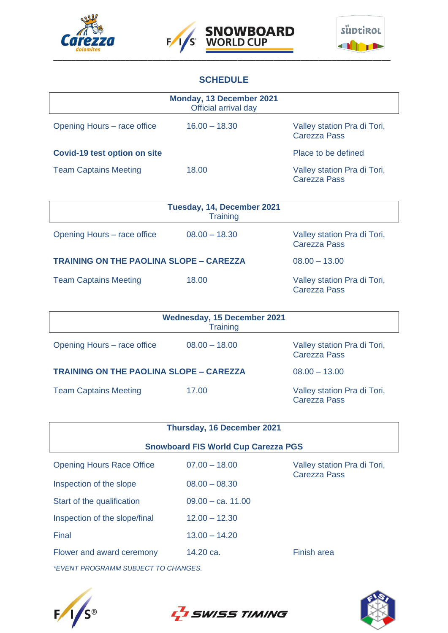





# **SCHEDULE**

|                                     | Monday, 13 December 2021<br>Official arrival day |                                                    |
|-------------------------------------|--------------------------------------------------|----------------------------------------------------|
| Opening Hours – race office         | $16.00 - 18.30$                                  | Valley station Pra di Tori,<br><b>Carezza Pass</b> |
| <b>Covid-19 test option on site</b> |                                                  | Place to be defined                                |
| <b>Team Captains Meeting</b>        | 18.00                                            | Valley station Pra di Tori,<br><b>Carezza Pass</b> |

|                                                | Tuesday, 14, December 2021<br><b>Training</b> |                                                    |
|------------------------------------------------|-----------------------------------------------|----------------------------------------------------|
| Opening Hours – race office                    | $08.00 - 18.30$                               | Valley station Pra di Tori,<br><b>Carezza Pass</b> |
| <b>TRAINING ON THE PAOLINA SLOPE - CAREZZA</b> |                                               | $08.00 - 13.00$                                    |
| <b>Team Captains Meeting</b>                   | 18.00                                         | Valley station Pra di Tori,<br><b>Carezza Pass</b> |

|                                                | <b>Wednesday, 15 December 2021</b><br><b>Training</b> |                                                    |
|------------------------------------------------|-------------------------------------------------------|----------------------------------------------------|
| Opening Hours – race office                    | $08.00 - 18.00$                                       | Valley station Pra di Tori,<br><b>Carezza Pass</b> |
| <b>TRAINING ON THE PAOLINA SLOPE - CAREZZA</b> |                                                       | $08.00 - 13.00$                                    |
| <b>Team Captains Meeting</b>                   | 17.00                                                 | Valley station Pra di Tori,<br><b>Carezza Pass</b> |

| Thursday, 16 December 2021                 |                     |                                             |  |  |
|--------------------------------------------|---------------------|---------------------------------------------|--|--|
| <b>Snowboard FIS World Cup Carezza PGS</b> |                     |                                             |  |  |
| <b>Opening Hours Race Office</b>           | $07.00 - 18.00$     | Valley station Pra di Tori,<br>Carezza Pass |  |  |
| Inspection of the slope                    | $08.00 - 08.30$     |                                             |  |  |
| Start of the qualification                 | $09.00 - ca. 11.00$ |                                             |  |  |
| Inspection of the slope/final              | $12.00 - 12.30$     |                                             |  |  |
| Final                                      | $13.00 - 14.20$     |                                             |  |  |
| Flower and award ceremony                  | 14.20 ca.           | Finish area                                 |  |  |
| *EVENT PROGRAMM SUBJECT TO CHANGES.        |                     |                                             |  |  |